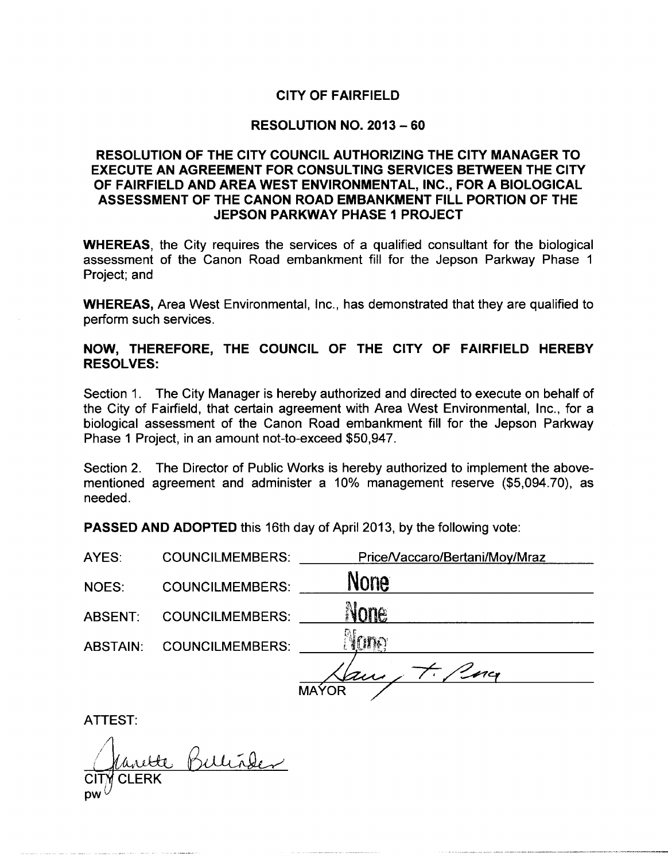# **CITY OF FAIRFIELD**

# **RESOLUTION NO. 2013 - 60**

# RESOLUTION OF THE CITY COUNCIL AUTHORIZING THE CITY MANAGER TO **EXECUTE AN AGREEMENT FOR CONSULTING SERVICES BETWEEN THE CITY** OF FAIRFIELD AND AREA WEST ENVIRONMENTAL, INC., FOR A BIOLOGICAL ASSESSMENT OF THE CANON ROAD EMBANKMENT FILL PORTION OF THE **JEPSON PARKWAY PHASE 1 PROJECT**

**WHEREAS**, the City requires the services of a qualified consultant for the biological assessment of the Canon Road embankment fill for the Jepson Parkway Phase 1 Project; and

**WHEREAS, Area West Environmental, Inc., has demonstrated that they are qualified to** perform such services.

# NOW, THEREFORE, THE COUNCIL OF THE CITY OF FAIRFIELD HEREBY **RESOLVES:**

Section 1. The City Manager is hereby authorized and directed to execute on behalf of the City of Fairfield, that certain agreement with Area West Environmental, Inc., for a biological assessment of the Canon Road embankment fill for the Jepson Parkway Phase 1 Project, in an amount not-to-exceed \$50,947.

Section 2. The Director of Public Works is hereby authorized to implement the abovementioned agreement and administer a 10% management reserve (\$5,094.70), as needed.

**PASSED AND ADOPTED this 16th day of April 2013, by the following vote:** 

| AYES:           | <b>COUNCILMEMBERS:</b> | Price/Vaccaro/Bertani/Moy/Mraz |
|-----------------|------------------------|--------------------------------|
| NOES:           | <b>COUNCILMEMBERS:</b> | None                           |
| ABSENT.         | <b>COUNCILMEMBERS:</b> | None                           |
| <b>ABSTAIN:</b> | <b>COUNCILMEMBERS:</b> | YODO                           |
|                 |                        | $\mathscr{L}$ ncy<br>au        |
|                 |                        | <b>MAYOR</b>                   |

**ATTEST:** 

ette Bulliaber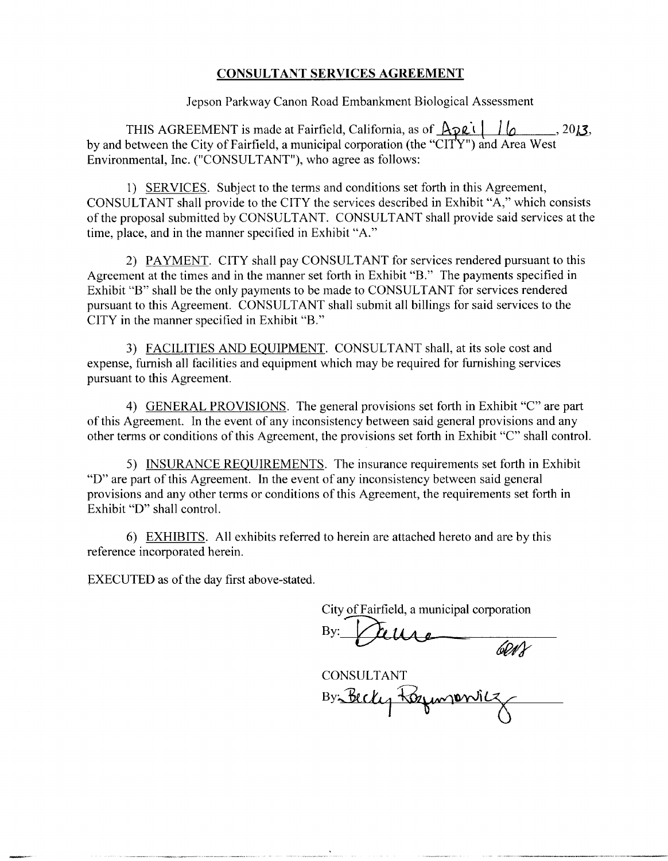# **CONSULTANT SERVICES AGREEMENT**

Jepson Parkway Canon Road Embankment Biological Assessment

THIS AGREEMENT is made at Fairfield, California, as of  $\overrightarrow{Apeli}$   $\overrightarrow{lo}$   $\overrightarrow{2013}$ , by and between the City of Fairfield, a municipal corporation (the "CITY") and Area West Environmental, Inc. ("CONSULTANT"), who agree as follows:

1) SERVICES. Subject to the terms and conditions set forth in this Agreement, CONSULTANT shall provide to the CITY the services described in Exhibit "A," which consists of the proposal submitted by CONSULTANT. CONSULTANT shall provide said services at the time, place, and in the manner specified in Exhibit "A."

2) PAYMENT. CITY shall pay CONSULTANT for services rendered pursuant to this Agreement at the times and in the manner set forth in Exhibit "B." The payments specified in Exhibit "B" shall be the only payments to be made to CONSULTANT for services rendered pursuant to this Agreement. CONSULTANT shall submit all billings for said services to the CITY in the manner specified in Exhibit "B."

3) FACILITIES AND EQUIPMENT. CONSULTANT shall, at its sole cost and expense, furnish all facilities and equipment which may be required for furnishing services pursuant to this Agreement.

4) GENERAL PROVISIONS. The general provisions set forth in Exhibit "C" are part of this Agreement. In the event of any inconsistency between said general provisions and any other terms or conditions of this Agreement, the provisions set forth in Exhibit "C" shall control.

5) INSURANCE REQUIREMENTS. The insurance requirements set forth in Exhibit "D" are part of this Agreement. In the event of any inconsistency between said general provisions and any other terms or conditions of this Agreement, the requirements set forth in Exhibit "D" shall control.

6) EXHIBITS. All exhibits referred to herein are attached hereto and are by this reference incorporated herein.

EXECUTED as of the day first above-stated.

City of Fairfield, a municipal corporation

 $\frac{6013}{100}$ **CONSULTANT** By Becky Regimponics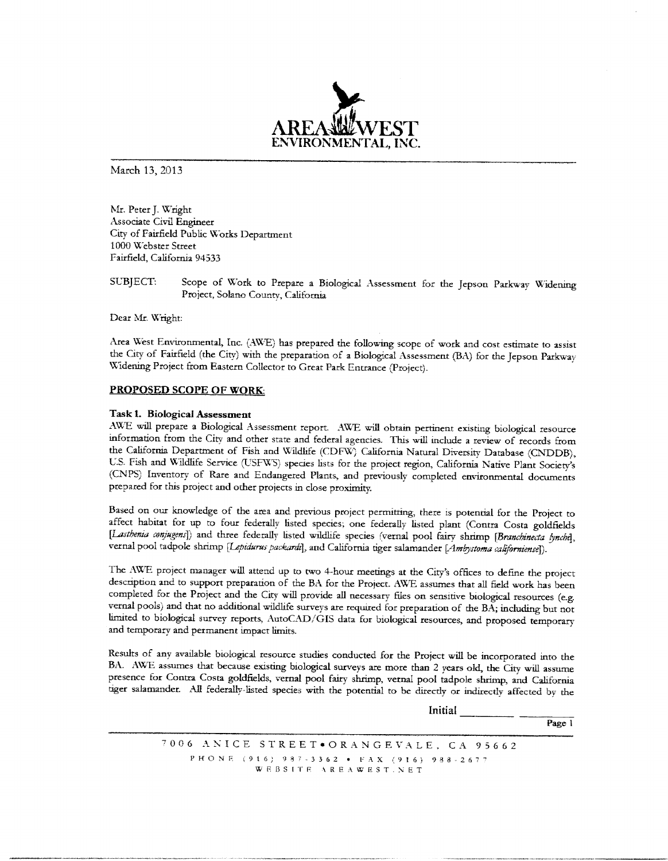

March 13, 2013

Mr. Peter J. Wright Associate Civil Engineer City of Fairfield Public Works Department 1000 Webster Street Fairfield, California 94533

SUBJECT: Scope of Work to Prepare a Biological Assessment for the Jepson Parkway Widening Project, Solano County, California

Dear Mr. Wright:

Area West Environmental, Inc. (AWE) has prepared the following scope of work and cost estimate to assist the City of Fairfield (the City) with the preparation of a Biological Assessment (BA) for the Jepson Parkway Widening Project from Eastern Collector to Great Park Entrance (Project).

#### PROPOSED SCOPE OF WORK.

#### Task 1. Biological Assessment

AWE will prepare a Biological Assessment report. AWE will obtain pertinent existing biological resource information from the City and other state and federal agencies. This will include a review of records from the California Department of Fish and Wildlife (CDFW) California Natural Diversity Database (CNDDB), U.S. Fish and Wildlife Service (USFWS) species lists for the project region, California Native Plant Society's (CNPS) Inventory of Rare and Endangered Plants, and previously completed environmental documents prepared for this project and other projects in close proximity.

Based on our knowledge of the area and previous project permitting, there is potential for the Project to affect habitat for up to four federally listed species; one federally listed plant (Contra Costa goldfields [Lasthenia conjugens]) and three federally listed wildlife species (vernal pool fairy shrimp [Branchinecta lynchi], vernal pool tadpole shrimp [Lepidurus packardi], and California tiger salamander [Ambystoma californiense]).

The AWE project manager will attend up to two 4-hour meetings at the City's offices to define the project description and to support preparation of the BA for the Project. AWE assumes that all field work has been completed for the Project and the City will provide all necessary files on sensitive biological resources (e.g. vernal pools) and that no additional wildlife surveys are required for preparation of the BA; including but not limited to biological survey reports, AutoCAD/GIS data for biological resources, and proposed temporary and temporary and permanent impact limits.

Results of any available biological resource studies conducted for the Project will be incorporated into the BA. AWE assumes that because existing biological surveys are more than 2 years old, the City will assume presence for Contra Costa goldfields, vernal pool fairy shrimp, vernal pool tadpole shrimp, and California tiger salamander. All federally-listed species with the potential to be directly or indirectly affected by the

Initial

Page  $1$ 

7006 ANICE STREET.ORANGEVALE, CA 95662 PHONE (916) 987-3362 · FAX (916) 988-2677 WEBSITE AREAWEST.NET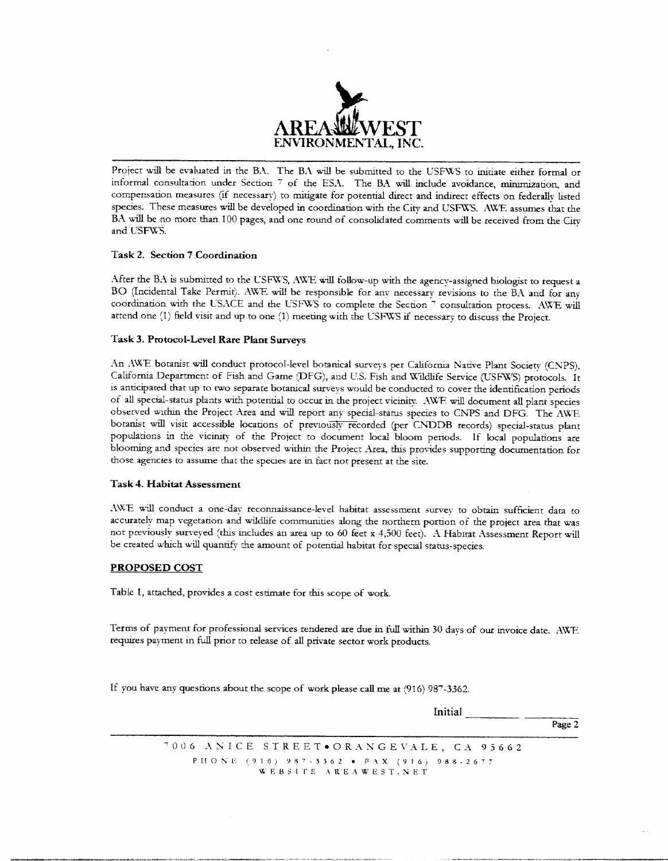

Project will be evaluated in the BA. The BA will be submitted to the USFWS to initiate either formal or informal consultation under Section 7 of the ESA. The BA will include avoidance, minimization, and compensation measures (if necessary) to mitigate for potential direct and indirect effects on federally listed species. These measures will be developed in coordination with the City and USFWS. AWE assumes that the BA will be no more than 100 pages, and one round of consolidated comments will be received from the City and USFWS.

#### Task 2. Section 7 Coordination

After the BA is submitted to the USFWS, AWE will follow-up with the agency-assigned biologist to request a BO (Incidental Take Permit). AWE will be responsible for any necessary revisions to the BA and for any coordination with the USACE and the USFWS to complete the Section 7 consultation process. AWE will attend one (1) field visit and up to one (1) meeting with the USFWS if necessary to discuss the Project.

#### Task 3. Protocol-Level Rare Plant Surveys

An AWE botanist will conduct protocol-level botanical surveys per California Native Plant Society (CNPS), California Department of Fish and Game (DFG), and U.S. Fish and Wildlife Service (USFWS) protocols. It is anticipated that up to two separate botanical surveys would be conducted to cover the identification periods of all special-status plants with potential to occur in the project vicinity. AWE will document all plant species observed within the Project Area and will report any special-status species to CNPS and DFG. The AWE botanist will visit accessible locations of previously recorded (per CNDDB records) special-status plant populations in the vicinity of the Project to document local bloom periods. If local populations are blooming and species are not observed within the Project Area, this provides supporting documentation for those agencies to assume that the species are in fact not present at the site.

#### **Task 4. Habitat Assessment**

AWE will conduct a one-day reconnaissance-level habitat assessment survey to obtain sufficient data to accurately map vegetation and wildlife communities along the northern portion of the project area that was not previously surveyed (this includes an area up to 60 feet x 4,500 feet). A Habitat Assessment Report will be created which will quantify the amount of potential habitat for special status-species.

#### **PROPOSED COST**

Table 1, attached, provides a cost estimate for this scope of work.

Terms of payment for professional services rendered are due in full within 30 days of our invoice date. AWE requires payment in full prior to release of all private sector work products.

If you have any questions about the scope of work please call me at (916) 987-3362.

Initial Page 2

7006 ANICE STREET.ORANGEVALE, CA 95662 PHONE (916) 987-3362 • FAX (916) 988-2677 WEBSITE AREAWEST.NET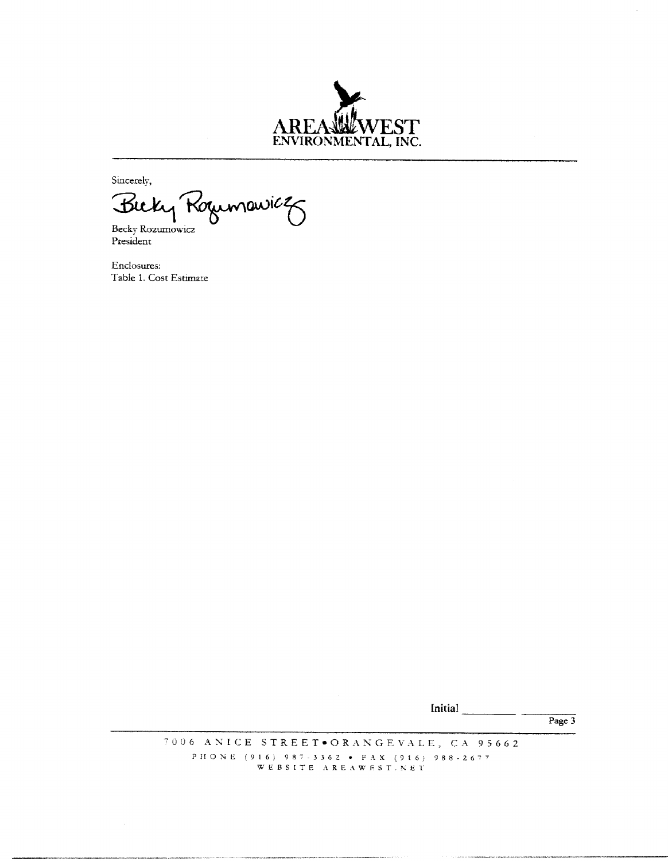

Sincerely,

Buk Koumawicz Becky Rozumowicz

President

Enclosures: Table 1. Cost Estimate

Initial  $\frac{1}{\sqrt{1-\frac{1}{\sqrt{1-\frac{1}{\sqrt{1-\frac{1}{\sqrt{1-\frac{1}{\sqrt{1-\frac{1}{\sqrt{1-\frac{1}{\sqrt{1-\frac{1}{\sqrt{1-\frac{1}{\sqrt{1-\frac{1}{\sqrt{1-\frac{1}{\sqrt{1-\frac{1}{\sqrt{1-\frac{1}{\sqrt{1-\frac{1}{\sqrt{1-\frac{1}{\sqrt{1-\frac{1}{\sqrt{1-\frac{1}{\sqrt{1-\frac{1}{\sqrt{1-\frac{1}{\sqrt{1-\frac{1}{\sqrt{1-\frac{1}{\sqrt{1-\frac{1}{\sqrt{1-\frac{1}{\sqrt{1-\frac{1}{$ 

Page  $3$ 

7006 ANICE STREET.ORANGEVALE, CA 95662 PHONE (916) 987-3362 • FAX (916) 988-2677<br>WEBSITE AREAWEST.NET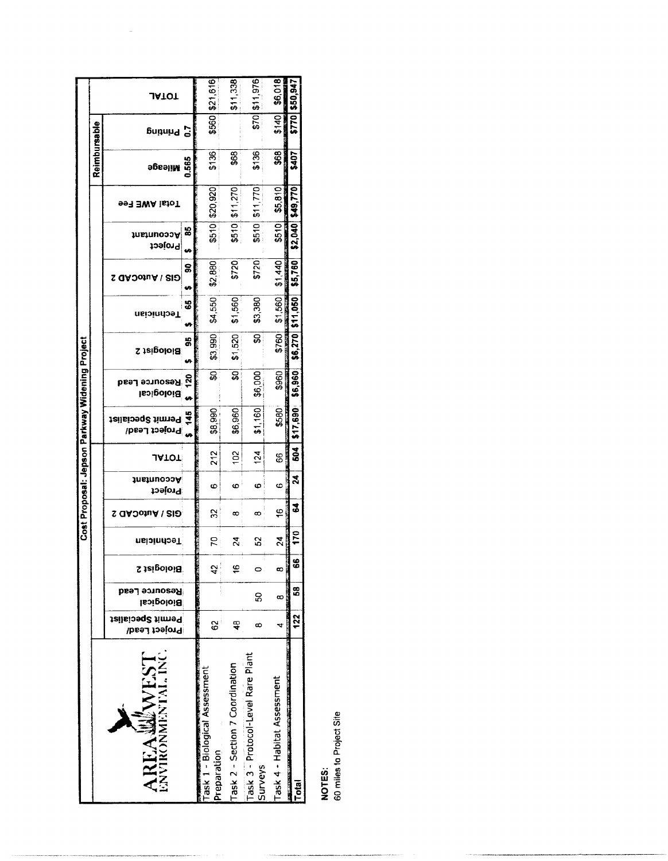|              |                            |                  |               |                                      |                             |                    |            |                  |                       |                           | Reimbursable                                                        |                 |                |
|--------------|----------------------------|------------------|---------------|--------------------------------------|-----------------------------|--------------------|------------|------------------|-----------------------|---------------------------|---------------------------------------------------------------------|-----------------|----------------|
| Technician   | Project<br>GIS / AutoCAD 2 | Accountant       | <u>JATOT</u>  | teilsionq2 timn99 효<br>Project Lead/ | Resource Lead<br>Biological | <b>Biologist 2</b> | กรเวเททวร1 | GIS / AutoCAD 2  | າບຂາບກວວວA<br>Project | <b>Fotal AWE Fee</b>      | эбеәјім                                                             | Sunung          | <b>JATOT</b>   |
|              |                            |                  |               |                                      | $\frac{5}{20}$              | 56<br>e,           | 55         | င္စ<br>U,        | 33                    |                           | 0.565                                                               |                 |                |
| 57           | S                          | စ                | 212           | \$8,990                              | ន្ធ                         | \$3,990            | \$4,550    | \$2,880          |                       |                           | \$136                                                               |                 | \$560 \$21,616 |
| $\mathbb{Z}$ | ∞                          | ¢                | $\tilde{5}$   | \$6,960                              | ន្ល                         | \$1,520            | \$1,560    | \$720            |                       | \$11,270                  | \$68                                                                |                 | \$11,338       |
| 3            | ∞                          | ဖ                | $\frac{1}{2}$ | \$1,160                              | \$6,000                     | ន្ល                | \$3,380    | \$720            |                       |                           | \$136                                                               | $\frac{1}{2}$   | \$11,976       |
| $\mathbf{z}$ | ₽                          | Ø                | 88            | \$580                                | \$960                       | \$760              | \$1,560    | \$1,440          |                       | \$5,810<br><b>TRUMBER</b> | \$68                                                                | <b>BERTHDAY</b> | \$6,018        |
| 170          | 3                          | $\boldsymbol{z}$ | <b>504</b>    | \$17,690                             | \$6,960                     |                    |            | \$5,760          |                       |                           | \$407                                                               |                 | \$50,94        |
|              |                            |                  |               | <b>SEPTEMBER 1979</b>                |                             |                    |            | \$6,270 \$11,050 |                       |                           | \$510 \$20,920<br>8510 \$11,770<br>\$2,040 \$49,770<br>510<br>\$510 |                 | \$140<br>\$770 |

NOTES:<br>60 miles to Project Site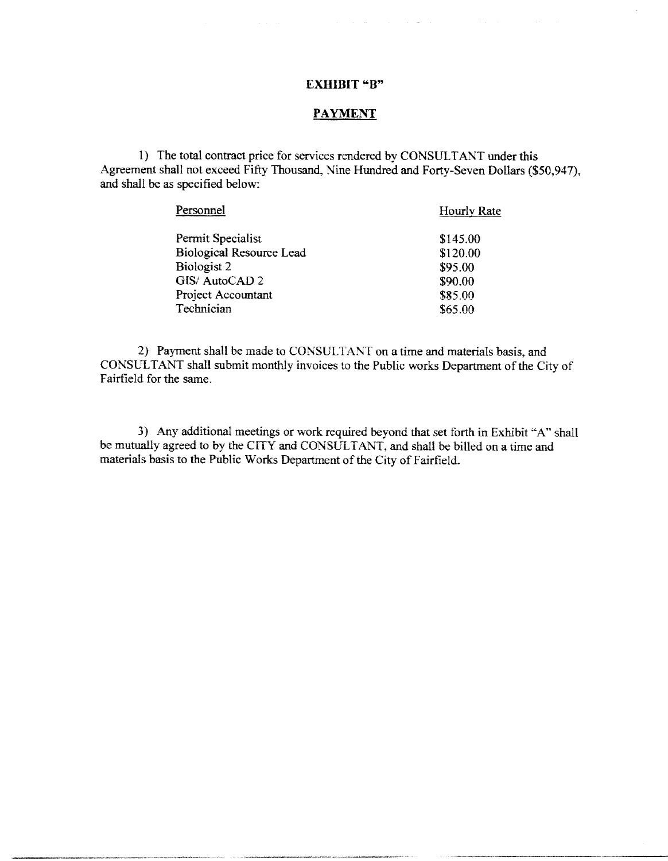# **EXHIBIT "B"**

# **PAYMENT**

1) The total contract price for services rendered by CONSULTANT under this Agreement shall not exceed Fifty Thousand, Nine Hundred and Forty-Seven Dollars (\$50,947), and shall be as specified below:

| Personnel                       | Hourly Rate |
|---------------------------------|-------------|
| Permit Specialist               | \$145.00    |
| <b>Biological Resource Lead</b> | \$120.00    |
| Biologist 2                     | \$95.00     |
| GIS/AutoCAD 2                   | \$90.00     |
| Project Accountant              | \$85.00     |
| Technician                      | \$65.00     |
|                                 |             |

2) Payment shall be made to CONSULTANT on a time and materials basis, and CONSULTANT shall submit monthly invoices to the Public works Department of the City of Fairfield for the same.

3) Any additional meetings or work required beyond that set forth in Exhibit "A" shall be mutually agreed to by the CITY and CONSULTANT, and shall be billed on a time and materials basis to the Public Works Department of the City of Fairfield.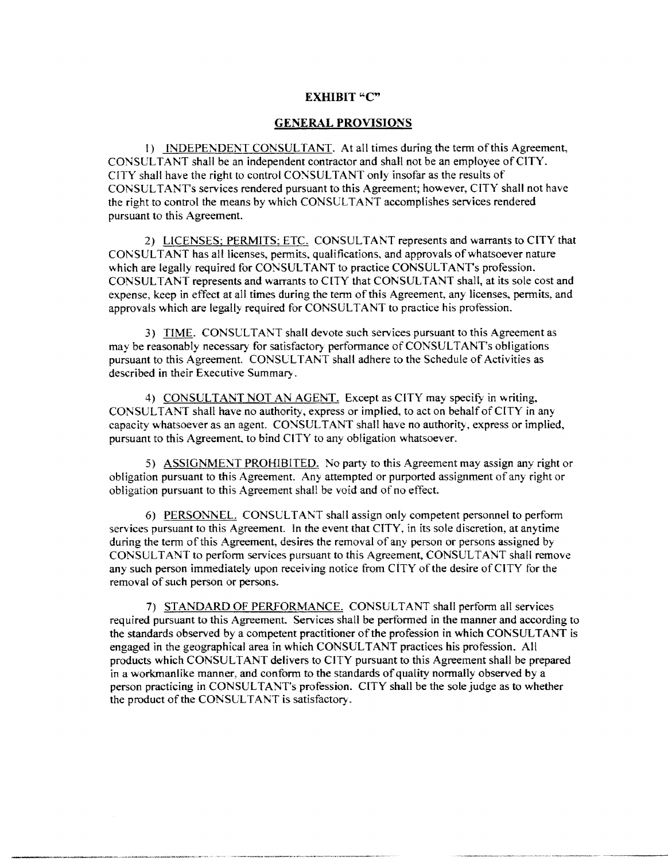# **EXHIBIT "C"**

### **GENERAL PROVISIONS**

1) INDEPENDENT CONSULTANT. At all times during the term of this Agreement, CONSULTANT shall be an independent contractor and shall not be an employee of CITY. CITY shall have the right to control CONSULTANT only insofar as the results of CONSULTANT's services rendered pursuant to this Agreement; however, CITY shall not have the right to control the means by which CONSULTANT accomplishes services rendered pursuant to this Agreement.

2) LICENSES; PERMITS; ETC. CONSULTANT represents and warrants to CITY that CONSULTANT has all licenses, permits, qualifications, and approvals of whatsoever nature which are legally required for CONSULTANT to practice CONSULTANT's profession. CONSULTANT represents and warrants to CITY that CONSULTANT shall, at its sole cost and expense, keep in effect at all times during the term of this Agreement, any licenses, permits, and approvals which are legally required for CONSULTANT to practice his profession.

3) TIME. CONSULTANT shall devote such services pursuant to this Agreement as may be reasonably necessary for satisfactory performance of CONSULTANT's obligations pursuant to this Agreement. CONSULTANT shall adhere to the Schedule of Activities as described in their Executive Summary.

4) CONSULTANT NOT AN AGENT. Except as CITY may specify in writing, CONSULTANT shall have no authority, express or implied, to act on behalf of CITY in any capacity whatsoever as an agent. CONSULTANT shall have no authority, express or implied, pursuant to this Agreement, to bind CITY to any obligation whatsoever.

5) ASSIGNMENT PROHIBITED. No party to this Agreement may assign any right or obligation pursuant to this Agreement. Any attempted or purported assignment of any right or obligation pursuant to this Agreement shall be void and of no effect.

6) PERSONNEL. CONSULTANT shall assign only competent personnel to perform services pursuant to this Agreement. In the event that CITY, in its sole discretion, at anytime during the term of this Agreement, desires the removal of any person or persons assigned by CONSULTANT to perform services pursuant to this Agreement, CONSULTANT shall remove any such person immediately upon receiving notice from CITY of the desire of CITY for the removal of such person or persons.

7) STANDARD OF PERFORMANCE. CONSULTANT shall perform all services required pursuant to this Agreement. Services shall be performed in the manner and according to the standards observed by a competent practitioner of the profession in which CONSULTANT is engaged in the geographical area in which CONSULTANT practices his profession. All products which CONSULTANT delivers to CITY pursuant to this Agreement shall be prepared in a workmanlike manner, and conform to the standards of quality normally observed by a person practicing in CONSULTANT's profession. CITY shall be the sole judge as to whether the product of the CONSULTANT is satisfactory.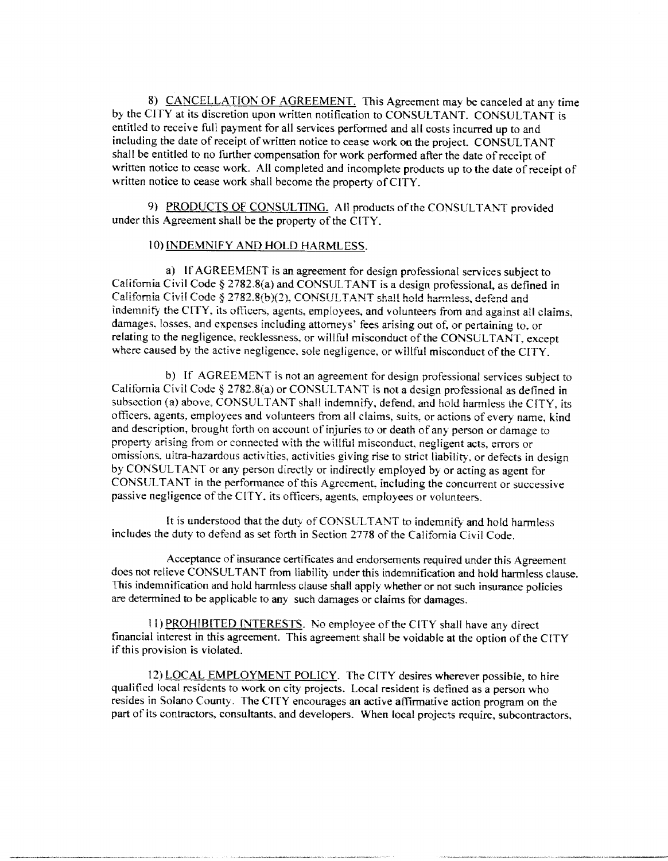8) CANCELLATION OF AGREEMENT. This Agreement may be canceled at any time by the CITY at its discretion upon written notification to CONSULTANT. CONSULTANT is entitled to receive full payment for all services performed and all costs incurred up to and including the date of receipt of written notice to cease work on the project. CONSULTANT shall be entitled to no further compensation for work performed after the date of receipt of written notice to cease work. All completed and incomplete products up to the date of receipt of written notice to cease work shall become the property of CITY.

9) PRODUCTS OF CONSULTING. All products of the CONSULTANT provided under this Agreement shall be the property of the CITY.

### 10) INDEMNIFY AND HOLD HARMLESS.

a) If AGREEMENT is an agreement for design professional services subject to California Civil Code § 2782.8(a) and CONSULTANT is a design professional, as defined in California Civil Code § 2782.8(b)(2), CONSULTANT shall hold harmless, defend and indemnify the CITY, its officers, agents, employees, and volunteers from and against all claims, damages, losses, and expenses including attorneys' fees arising out of, or pertaining to, or relating to the negligence, recklessness, or willful misconduct of the CONSULTANT, except where caused by the active negligence, sole negligence, or willful misconduct of the CITY.

b) If AGREEMENT is not an agreement for design professional services subject to California Civil Code § 2782.8(a) or CONSULTANT is not a design professional as defined in subsection (a) above, CONSULTANT shall indemnify, defend, and hold harmless the CITY, its officers, agents, employees and volunteers from all claims, suits, or actions of every name, kind and description, brought forth on account of injuries to or death of any person or damage to property arising from or connected with the willful misconduct, negligent acts, errors or omissions, ultra-hazardous activities, activities giving rise to strict liability, or defects in design by CONSULTANT or any person directly or indirectly employed by or acting as agent for CONSULTANT in the performance of this Agreement, including the concurrent or successive passive negligence of the CITY, its officers, agents, employees or volunteers.

It is understood that the duty of CONSULTANT to indemnify and hold harmless includes the duty to defend as set forth in Section 2778 of the California Civil Code.

Acceptance of insurance certificates and endorsements required under this Agreement does not relieve CONSULTANT from liability under this indemnification and hold harmless clause. This indemnification and hold harmless clause shall apply whether or not such insurance policies are determined to be applicable to any such damages or claims for damages.

11) PROHIBITED INTERESTS. No employee of the CITY shall have any direct financial interest in this agreement. This agreement shall be voidable at the option of the CITY if this provision is violated.

12) LOCAL EMPLOYMENT POLICY. The CITY desires wherever possible, to hire qualified local residents to work on city projects. Local resident is defined as a person who resides in Solano County. The CITY encourages an active affirmative action program on the part of its contractors, consultants, and developers. When local projects require, subcontractors,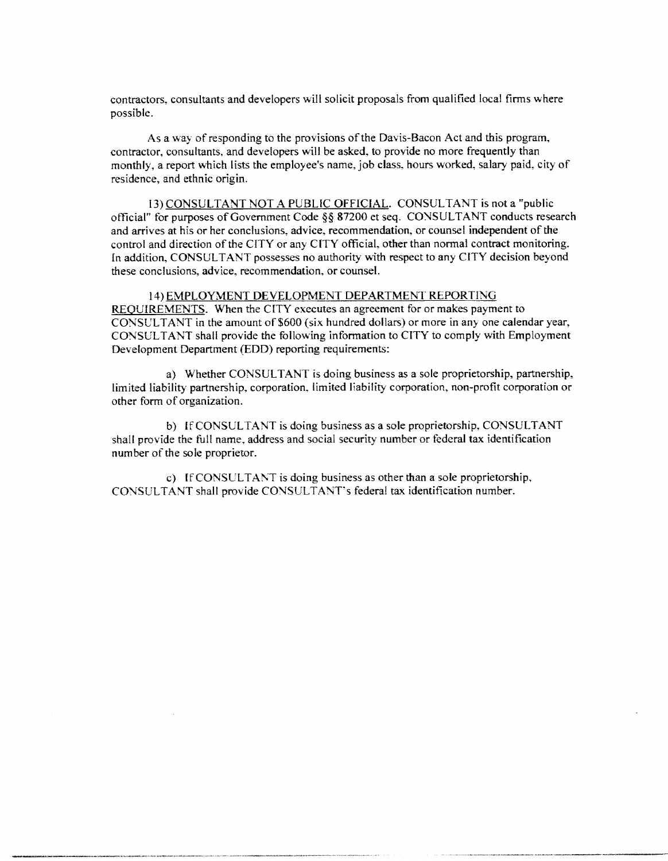contractors, consultants and developers will solicit proposals from qualified local firms where possible.

As a way of responding to the provisions of the Davis-Bacon Act and this program, contractor, consultants, and developers will be asked, to provide no more frequently than monthly, a report which lists the employee's name, job class, hours worked, salary paid, city of residence, and ethnic origin.

13) CONSULTANT NOT A PUBLIC OFFICIAL. CONSULTANT is not a "public official" for purposes of Government Code §§ 87200 et seq. CONSULTANT conducts research and arrives at his or her conclusions, advice, recommendation, or counsel independent of the control and direction of the CITY or any CITY official, other than normal contract monitoring. In addition, CONSULTANT possesses no authority with respect to any CITY decision beyond these conclusions, advice, recommendation, or counsel.

# 14) EMPLOYMENT DEVELOPMENT DEPARTMENT REPORTING REOUIREMENTS. When the CITY executes an agreement for or makes payment to

CONSULTANT in the amount of \$600 (six hundred dollars) or more in any one calendar year, CONSULTANT shall provide the following information to CITY to comply with Employment Development Department (EDD) reporting requirements:

a) Whether CONSULTANT is doing business as a sole proprietorship, partnership, limited liability partnership, corporation, limited liability corporation, non-profit corporation or other form of organization.

b) If CONSULTANT is doing business as a sole proprietorship, CONSULTANT shall provide the full name, address and social security number or federal tax identification number of the sole proprietor.

c) If CONSULTANT is doing business as other than a sole proprietorship, CONSULTANT shall provide CONSULTANT's federal tax identification number.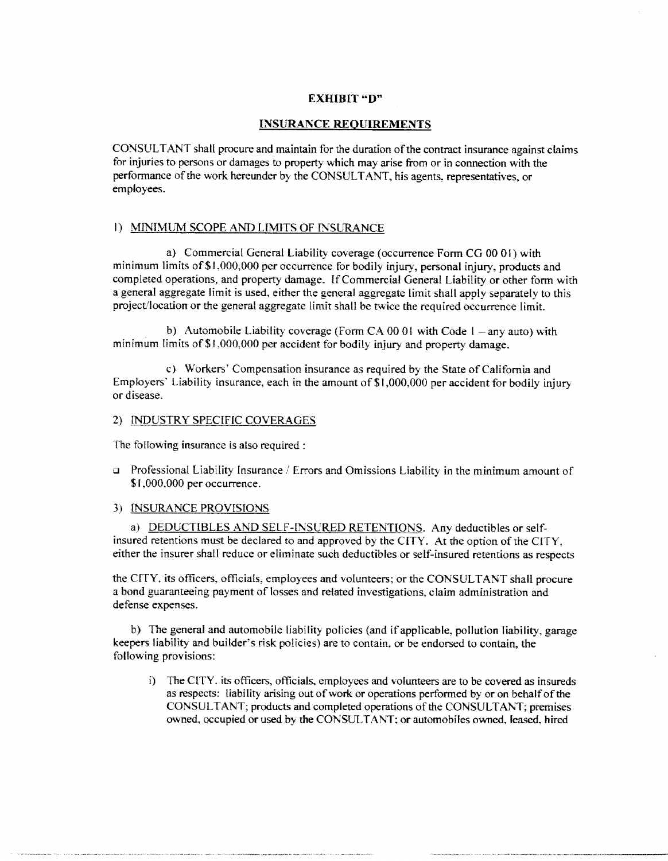## **EXHIBIT** "D"

### **INSURANCE REQUIREMENTS**

CONSULTANT shall procure and maintain for the duration of the contract insurance against claims for injuries to persons or damages to property which may arise from or in connection with the performance of the work hereunder by the CONSULTANT, his agents, representatives, or employees.

# 1) MINIMUM SCOPE AND LIMITS OF INSURANCE

a) Commercial General Liability coverage (occurrence Form CG 00 01) with minimum limits of \$1,000,000 per occurrence for bodily injury, personal injury, products and completed operations, and property damage. If Commercial General Liability or other form with a general aggregate limit is used, either the general aggregate limit shall apply separately to this project/location or the general aggregate limit shall be twice the required occurrence limit.

b) Automobile Liability coverage (Form CA 00 01 with Code  $1 - any auto$ ) with minimum limits of \$1,000,000 per accident for bodily injury and property damage.

c) Workers' Compensation insurance as required by the State of California and Employers' Liability insurance, each in the amount of \$1,000,000 per accident for bodily injury or disease.

### 2) INDUSTRY SPECIFIC COVERAGES

The following insurance is also required :

Professional Liability Insurance / Errors and Omissions Liability in the minimum amount of  $\Box$ \$1,000,000 per occurrence.

### 3) INSURANCE PROVISIONS

a) DEDUCTIBLES AND SELF-INSURED RETENTIONS. Any deductibles or selfinsured retentions must be declared to and approved by the CITY. At the option of the CITY, either the insurer shall reduce or eliminate such deductibles or self-insured retentions as respects

the CITY, its officers, officials, employees and volunteers; or the CONSULTANT shall procure a bond guaranteeing payment of losses and related investigations, claim administration and defense expenses.

b) The general and automobile liability policies (and if applicable, pollution liability, garage keepers liability and builder's risk policies) are to contain, or be endorsed to contain, the following provisions:

i) The CITY, its officers, officials, employees and volunteers are to be covered as insureds as respects: liability arising out of work or operations performed by or on behalf of the CONSULTANT; products and completed operations of the CONSULTANT; premises owned, occupied or used by the CONSULTANT; or automobiles owned, leased, hired